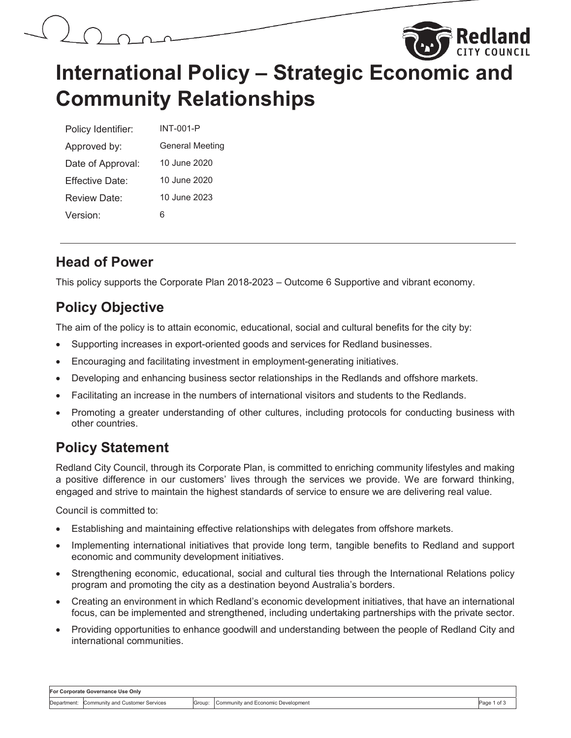



# **International Policy – Strategic Economic and Community Relationships**

| Policy Identifier: | INT-001-P              |
|--------------------|------------------------|
| Approved by:       | <b>General Meeting</b> |
| Date of Approval:  | 10 June 2020           |
| Fffective Date:    | 10 June 2020           |
| Review Date:       | 10 June 2023           |
| Version:           |                        |

### **Head of Power**

This policy supports the Corporate Plan 2018-2023 – Outcome 6 Supportive and vibrant economy.

## **Policy Objective**

The aim of the policy is to attain economic, educational, social and cultural benefits for the city by:

- Supporting increases in export-oriented goods and services for Redland businesses.
- Encouraging and facilitating investment in employment-generating initiatives.
- Developing and enhancing business sector relationships in the Redlands and offshore markets.
- Facilitating an increase in the numbers of international visitors and students to the Redlands.
- Promoting a greater understanding of other cultures, including protocols for conducting business with other countries.

## **Policy Statement**

Redland City Council, through its Corporate Plan, is committed to enriching community lifestyles and making a positive difference in our customers' lives through the services we provide. We are forward thinking, engaged and strive to maintain the highest standards of service to ensure we are delivering real value.

Council is committed to:

- Establishing and maintaining effective relationships with delegates from offshore markets.
- Implementing international initiatives that provide long term, tangible benefits to Redland and support economic and community development initiatives.
- Strengthening economic, educational, social and cultural ties through the International Relations policy program and promoting the city as a destination beyond Australia's borders.
- Creating an environment in which Redland's economic development initiatives, that have an international focus, can be implemented and strengthened, including undertaking partnerships with the private sector.
- Providing opportunities to enhance goodwill and understanding between the people of Redland City and international communities.

| For Corporate Governance Use Only |                                 |        |                                    |              |
|-----------------------------------|---------------------------------|--------|------------------------------------|--------------|
| Department:                       | Community and Customer Services | Group: | Community and Economic Development | Page<br>of 3 |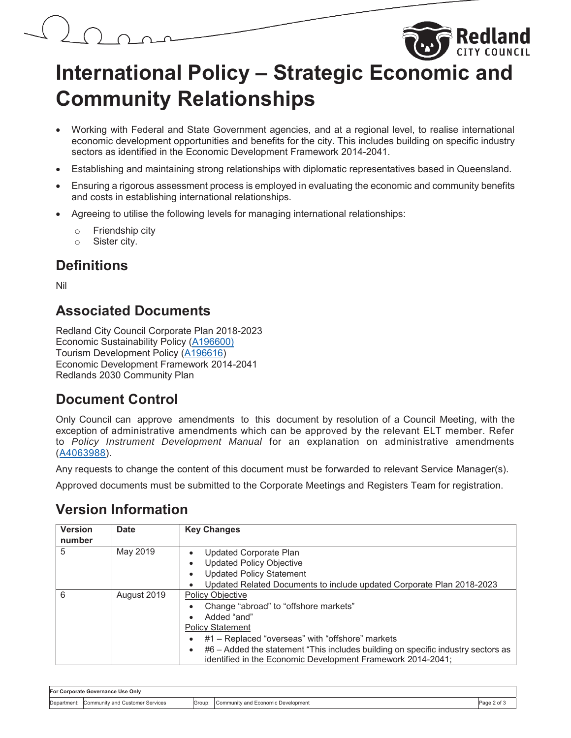# **International Policy – Strategic Economic and Community Relationships**

- Working with Federal and State Government agencies, and at a regional level, to realise international economic development opportunities and benefits for the city. This includes building on specific industry sectors as identified in the Economic Development Framework 2014-2041.
- Establishing and maintaining strong relationships with diplomatic representatives based in Queensland.
- Ensuring a rigorous assessment process is employed in evaluating the economic and community benefits and costs in establishing international relationships.
- Agreeing to utilise the following levels for managing international relationships:
	- o Friendship city
	- o Sister city.

#### **Definitions**

Nil

#### **Associated Documents**

Redland City Council Corporate Plan 2018-2023 Economic Sustainability Policy (A196600) Tourism Development Policy (A196616) Economic Development Framework 2014-2041 Redlands 2030 Community Plan

#### **Document Control**

Only Council can approve amendments to this document by resolution of a Council Meeting, with the exception of administrative amendments which can be approved by the relevant ELT member. Refer to *Policy Instrument Development Manual* for an explanation on administrative amendments (A4063988).

Any requests to change the content of this document must be forwarded to relevant Service Manager(s).

Approved documents must be submitted to the Corporate Meetings and Registers Team for registration.

#### **Version Information**

| <b>Version</b><br>number | <b>Date</b> | <b>Key Changes</b>                                                                                                                              |  |  |  |
|--------------------------|-------------|-------------------------------------------------------------------------------------------------------------------------------------------------|--|--|--|
| 5                        | May 2019    | Updated Corporate Plan                                                                                                                          |  |  |  |
|                          |             | <b>Updated Policy Objective</b>                                                                                                                 |  |  |  |
|                          |             | <b>Updated Policy Statement</b>                                                                                                                 |  |  |  |
|                          |             | Updated Related Documents to include updated Corporate Plan 2018-2023                                                                           |  |  |  |
| 6                        | August 2019 | <b>Policy Objective</b>                                                                                                                         |  |  |  |
|                          |             | Change "abroad" to "offshore markets"                                                                                                           |  |  |  |
|                          |             | Added "and"                                                                                                                                     |  |  |  |
|                          |             | <b>Policy Statement</b>                                                                                                                         |  |  |  |
|                          |             | #1 – Replaced "overseas" with "offshore" markets                                                                                                |  |  |  |
|                          |             | #6 – Added the statement "This includes building on specific industry sectors as<br>identified in the Economic Development Framework 2014-2041; |  |  |  |

| For Corporate Governance Use Only |                                 |        |                                    |             |
|-----------------------------------|---------------------------------|--------|------------------------------------|-------------|
| Department:                       | Community and Customer Services | Group: | Community and Economic Development | ືage 2 of ⊾ |